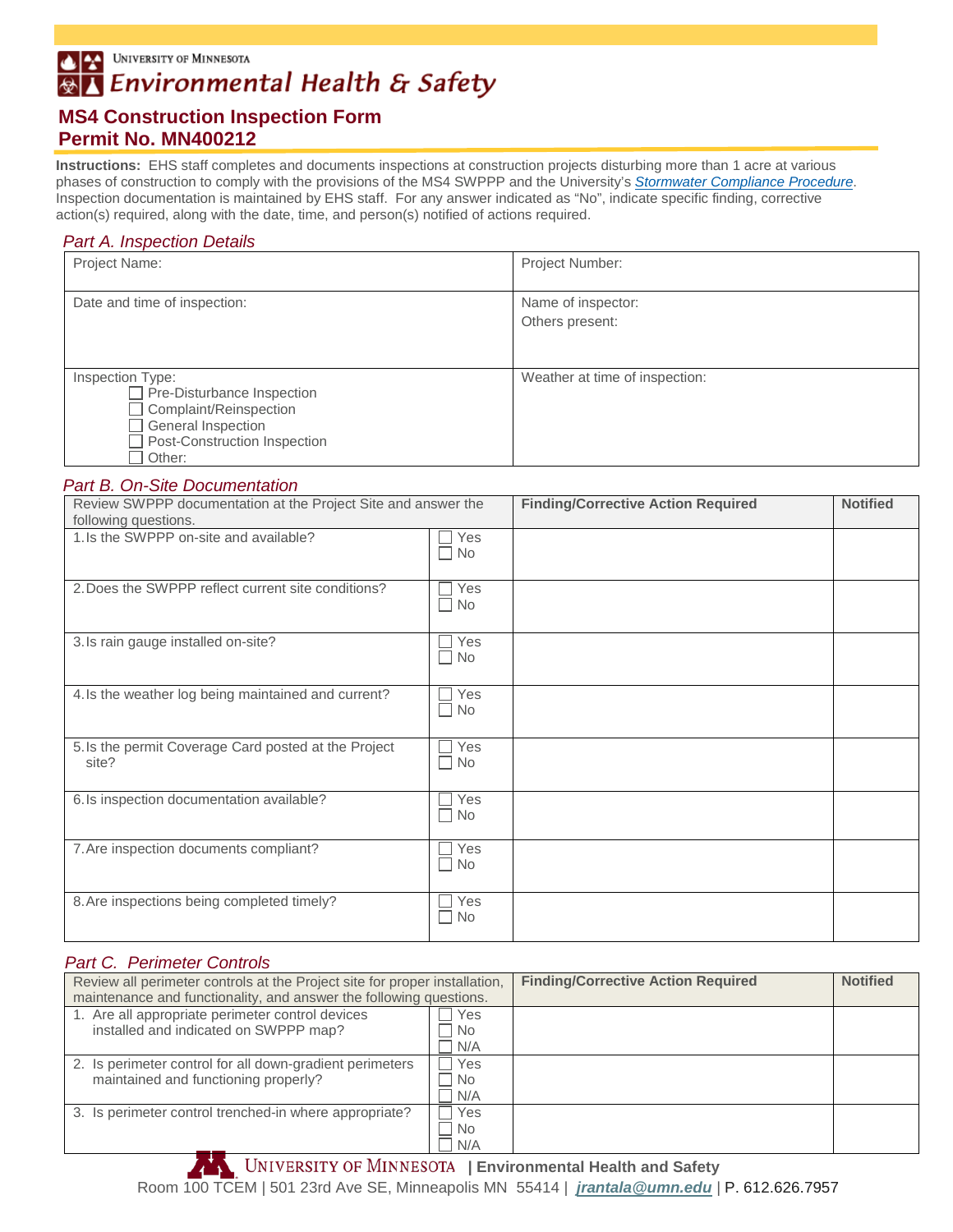UNIVERSITY OF MINNESOTA 西至

#### Environmental Health & Safety ⊛∣

# **MS4 Construction Inspection Form Permit No. MN400212**

**Instructions:**EHS staff completes and documents inspections at construction projects disturbing more than 1 acre at various phases of construction to comply with the provisions of the MS4 SWPPP and the University's *[Stormwater Compliance Procedure](http://policy.umn.edu/operations/environment-proc04)*. Inspection documentation is maintained by EHS staff. For any answer indicated as "No", indicate specific finding, corrective action(s) required, along with the date, time, and person(s) notified of actions required.

### *Part A. Inspection Details*

| Project Name:                                                                                                                                                               | Project Number:                       |
|-----------------------------------------------------------------------------------------------------------------------------------------------------------------------------|---------------------------------------|
| Date and time of inspection:                                                                                                                                                | Name of inspector:<br>Others present: |
| Inspection Type:<br>Pre-Disturbance Inspection<br>$\overline{\phantom{0}}$<br>Complaint/Reinspection<br><b>General Inspection</b><br>Post-Construction Inspection<br>Other: | Weather at time of inspection:        |

#### *Part B. On-Site Documentation*

| Review SWPPP documentation at the Project Site and answer the<br>following questions. |                                  | <b>Finding/Corrective Action Required</b> | <b>Notified</b> |
|---------------------------------------------------------------------------------------|----------------------------------|-------------------------------------------|-----------------|
| 1.Is the SWPPP on-site and available?                                                 | Yes<br>$\Box$ No                 |                                           |                 |
| 2. Does the SWPPP reflect current site conditions?                                    | Yes<br>$\Box$ No                 |                                           |                 |
| 3. Is rain gauge installed on-site?                                                   | ∩ Yes<br>$\Box$ No               |                                           |                 |
| 4. Is the weather log being maintained and current?                                   | $\Box$ Yes<br>$\Box$ No          |                                           |                 |
| 5. Is the permit Coverage Card posted at the Project<br>site?                         | ∩ Yes<br>$\Box$ No               |                                           |                 |
| 6. Is inspection documentation available?                                             | $\sqsupset$ Yes<br>$\Box$ No     |                                           |                 |
| 7. Are inspection documents compliant?                                                | $\Box$ Yes<br>$\Box$ No          |                                           |                 |
| 8. Are inspections being completed timely?                                            | Yes<br>$\mathbf{I}$<br>$\Box$ No |                                           |                 |

#### *Part C. Perimeter Controls*

| Review all perimeter controls at the Project site for proper installation, |            | <b>Finding/Corrective Action Required</b> | <b>Notified</b> |
|----------------------------------------------------------------------------|------------|-------------------------------------------|-----------------|
| maintenance and functionality, and answer the following questions.         |            |                                           |                 |
| 1. Are all appropriate perimeter control devices                           | Yes        |                                           |                 |
| installed and indicated on SWPPP map?                                      | l No       |                                           |                 |
|                                                                            | $\neg N/A$ |                                           |                 |
| 2. Is perimeter control for all down-gradient perimeters                   | Yes        |                                           |                 |
| maintained and functioning properly?                                       | l No       |                                           |                 |
|                                                                            | N/A        |                                           |                 |
| 3. Is perimeter control trenched-in where appropriate?                     | Yes        |                                           |                 |
|                                                                            | <b>No</b>  |                                           |                 |
|                                                                            | N/A        |                                           |                 |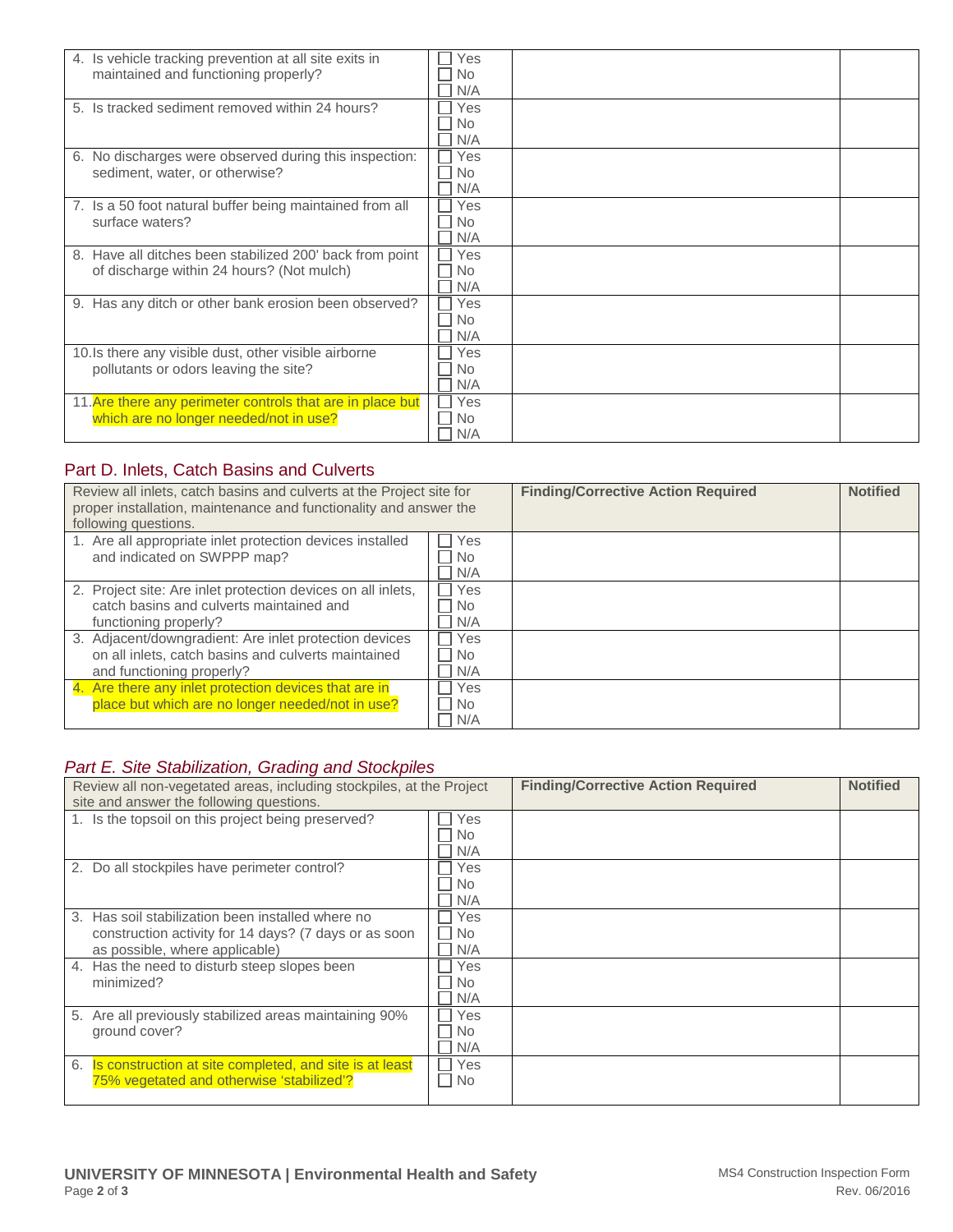| 4. Is vehicle tracking prevention at all site exits in     | Yes       |
|------------------------------------------------------------|-----------|
| maintained and functioning properly?                       | No.       |
|                                                            | N/A       |
| 5. Is tracked sediment removed within 24 hours?            | Yes       |
|                                                            | <b>No</b> |
|                                                            | N/A       |
| 6. No discharges were observed during this inspection:     | Yes       |
| sediment, water, or otherwise?                             | <b>No</b> |
|                                                            | N/A       |
| 7. Is a 50 foot natural buffer being maintained from all   | Yes       |
| surface waters?                                            | <b>No</b> |
|                                                            | N/A       |
| 8. Have all ditches been stabilized 200' back from point   | Yes       |
| of discharge within 24 hours? (Not mulch)                  | <b>No</b> |
|                                                            | N/A       |
| 9. Has any ditch or other bank erosion been observed?      | Yes       |
|                                                            | <b>No</b> |
|                                                            | N/A       |
| 10. Is there any visible dust, other visible airborne      | Yes       |
| pollutants or odors leaving the site?                      | No        |
|                                                            | N/A       |
| 11. Are there any perimeter controls that are in place but | Yes       |
| which are no longer needed/not in use?                     | <b>No</b> |
|                                                            | N/A       |

## Part D. Inlets, Catch Basins and Culverts

| Review all inlets, catch basins and culverts at the Project site for<br>proper installation, maintenance and functionality and answer the<br>following questions. |                         | <b>Finding/Corrective Action Required</b> | <b>Notified</b> |
|-------------------------------------------------------------------------------------------------------------------------------------------------------------------|-------------------------|-------------------------------------------|-----------------|
| 1. Are all appropriate inlet protection devices installed<br>and indicated on SWPPP map?                                                                          | Yes<br>No.<br>N/A       |                                           |                 |
| 2. Project site: Are inlet protection devices on all inlets,<br>catch basins and culverts maintained and<br>functioning properly?                                 | Yes<br>No.<br>N/A       |                                           |                 |
| 3. Adjacent/downgradient: Are inlet protection devices<br>on all inlets, catch basins and culverts maintained<br>and functioning properly?                        | Yes<br><b>No</b><br>N/A |                                           |                 |
| 4. Are there any inlet protection devices that are in<br>place but which are no longer needed/not in use?                                                         | Yes<br><b>No</b><br>N/A |                                           |                 |

### *Part E. Site Stabilization, Grading and Stockpiles*

| Review all non-vegetated areas, including stockpiles, at the Project |           | <b>Finding/Corrective Action Required</b> | <b>Notified</b> |
|----------------------------------------------------------------------|-----------|-------------------------------------------|-----------------|
| site and answer the following questions.                             |           |                                           |                 |
| 1. Is the topsoil on this project being preserved?                   | Yes       |                                           |                 |
|                                                                      | No.       |                                           |                 |
|                                                                      | N/A       |                                           |                 |
| 2. Do all stockpiles have perimeter control?                         | Yes       |                                           |                 |
|                                                                      | <b>No</b> |                                           |                 |
|                                                                      | N/A       |                                           |                 |
| 3. Has soil stabilization been installed where no                    | Yes       |                                           |                 |
| construction activity for 14 days? (7 days or as soon                | <b>No</b> |                                           |                 |
| as possible, where applicable)                                       | N/A       |                                           |                 |
| 4. Has the need to disturb steep slopes been                         | Yes       |                                           |                 |
| minimized?                                                           | <b>No</b> |                                           |                 |
|                                                                      | N/A       |                                           |                 |
| Are all previously stabilized areas maintaining 90%<br>5.            | Yes       |                                           |                 |
| ground cover?                                                        | No.       |                                           |                 |
|                                                                      | N/A       |                                           |                 |
| 6. Is construction at site completed, and site is at least           | Yes       |                                           |                 |
| 75% vegetated and otherwise 'stabilized'?                            | No        |                                           |                 |
|                                                                      |           |                                           |                 |